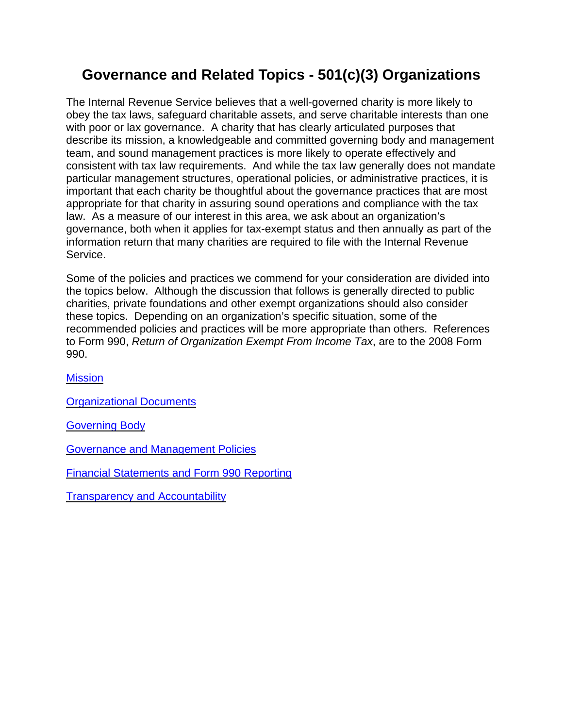# <span id="page-0-0"></span>**Governance and Related Topics - 501(c)(3) Organizations**

The Internal Revenue Service believes that a well-governed charity is more likely to obey the tax laws, safeguard charitable assets, and serve charitable interests than one with poor or lax governance. A charity that has clearly articulated purposes that describe its mission, a knowledgeable and committed governing body and management team, and sound management practices is more likely to operate effectively and consistent with tax law requirements. And while the tax law generally does not mandate particular management structures, operational policies, or administrative practices, it is important that each charity be thoughtful about the governance practices that are most appropriate for that charity in assuring sound operations and compliance with the tax law. As a measure of our interest in this area, we ask about an organization's governance, both when it applies for tax-exempt status and then annually as part of the information return that many charities are required to file with the Internal Revenue Service.

Some of the policies and practices we commend for your consideration are divided into the topics below. Although the discussion that follows is generally directed to public charities, private foundations and other exempt organizations should also consider these topics. Depending on an organization's specific situation, some of the recommended policies and practices will be more appropriate than others. References to Form 990, *Return of Organization Exempt From Income Tax*, are to the 2008 Form 990.

**[Mission](#page-1-0)** 

[Organizational Documents](#page-1-0)

[Governing Body](#page-1-0)

[Governance and Management Policies](#page-2-0)

[Financial Statements and Form 990 Reporting](#page-5-0)

**[Transparency and Accountability](#page-6-0)**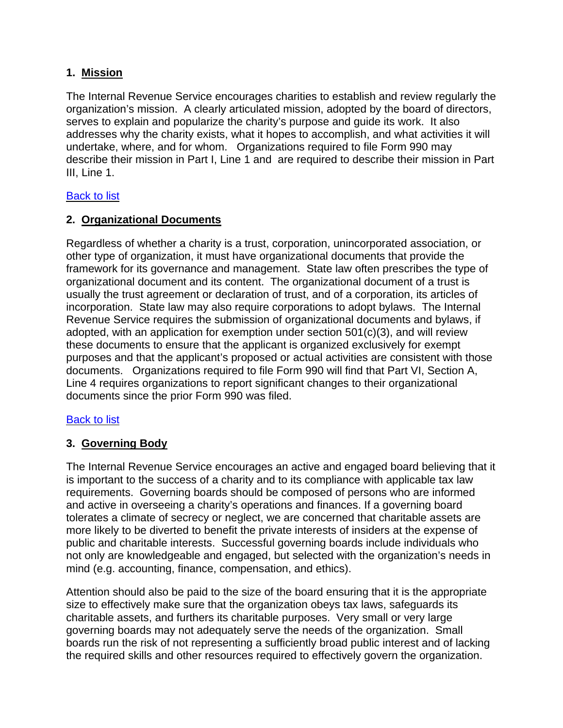## <span id="page-1-0"></span>**1. Mission**

The Internal Revenue Service encourages charities to establish and review regularly the organization's mission. A clearly articulated mission, adopted by the board of directors, serves to explain and popularize the charity's purpose and guide its work. It also addresses why the charity exists, what it hopes to accomplish, and what activities it will undertake, where, and for whom. Organizations required to file Form 990 may describe their mission in Part I, Line 1 and are required to describe their mission in Part III, Line 1.

### [Back to list](#page-0-0)

## **2. Organizational Documents**

Regardless of whether a charity is a trust, corporation, unincorporated association, or other type of organization, it must have organizational documents that provide the framework for its governance and management. State law often prescribes the type of organizational document and its content. The organizational document of a trust is usually the trust agreement or declaration of trust, and of a corporation, its articles of incorporation. State law may also require corporations to adopt bylaws. The Internal Revenue Service requires the submission of organizational documents and bylaws, if adopted, with an application for exemption under section 501(c)(3), and will review these documents to ensure that the applicant is organized exclusively for exempt purposes and that the applicant's proposed or actual activities are consistent with those documents. Organizations required to file Form 990 will find that Part VI, Section A, Line 4 requires organizations to report significant changes to their organizational documents since the prior Form 990 was filed.

## **[Back to list](#page-0-0)**

## **3. Governing Body**

The Internal Revenue Service encourages an active and engaged board believing that it is important to the success of a charity and to its compliance with applicable tax law requirements. Governing boards should be composed of persons who are informed and active in overseeing a charity's operations and finances. If a governing board tolerates a climate of secrecy or neglect, we are concerned that charitable assets are more likely to be diverted to benefit the private interests of insiders at the expense of public and charitable interests. Successful governing boards include individuals who not only are knowledgeable and engaged, but selected with the organization's needs in mind (e.g. accounting, finance, compensation, and ethics).

Attention should also be paid to the size of the board ensuring that it is the appropriate size to effectively make sure that the organization obeys tax laws, safeguards its charitable assets, and furthers its charitable purposes. Very small or very large governing boards may not adequately serve the needs of the organization. Small boards run the risk of not representing a sufficiently broad public interest and of lacking the required skills and other resources required to effectively govern the organization.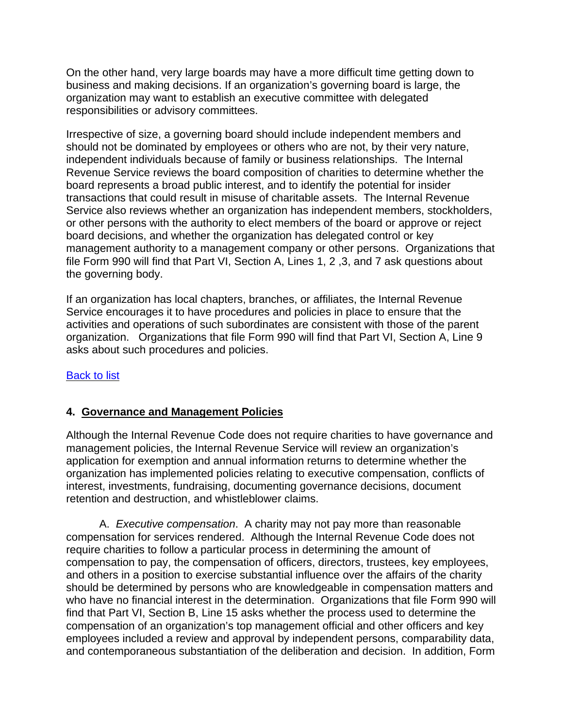<span id="page-2-0"></span>On the other hand, very large boards may have a more difficult time getting down to business and making decisions. If an organization's governing board is large, the organization may want to establish an executive committee with delegated responsibilities or advisory committees.

Irrespective of size, a governing board should include independent members and should not be dominated by employees or others who are not, by their very nature, independent individuals because of family or business relationships. The Internal Revenue Service reviews the board composition of charities to determine whether the board represents a broad public interest, and to identify the potential for insider transactions that could result in misuse of charitable assets. The Internal Revenue Service also reviews whether an organization has independent members, stockholders, or other persons with the authority to elect members of the board or approve or reject board decisions, and whether the organization has delegated control or key management authority to a management company or other persons. Organizations that file Form 990 will find that Part VI, Section A, Lines 1, 2 ,3, and 7 ask questions about the governing body.

If an organization has local chapters, branches, or affiliates, the Internal Revenue Service encourages it to have procedures and policies in place to ensure that the activities and operations of such subordinates are consistent with those of the parent organization. Organizations that file Form 990 will find that Part VI, Section A, Line 9 asks about such procedures and policies.

#### [Back to list](#page-0-0)

## **4. Governance and Management Policies**

Although the Internal Revenue Code does not require charities to have governance and management policies, the Internal Revenue Service will review an organization's application for exemption and annual information returns to determine whether the organization has implemented policies relating to executive compensation, conflicts of interest, investments, fundraising, documenting governance decisions, document retention and destruction, and whistleblower claims.

A. *Executive compensation*. A charity may not pay more than reasonable compensation for services rendered. Although the Internal Revenue Code does not require charities to follow a particular process in determining the amount of compensation to pay, the compensation of officers, directors, trustees, key employees, and others in a position to exercise substantial influence over the affairs of the charity should be determined by persons who are knowledgeable in compensation matters and who have no financial interest in the determination. Organizations that file Form 990 will find that Part VI, Section B, Line 15 asks whether the process used to determine the compensation of an organization's top management official and other officers and key employees included a review and approval by independent persons, comparability data, and contemporaneous substantiation of the deliberation and decision. In addition, Form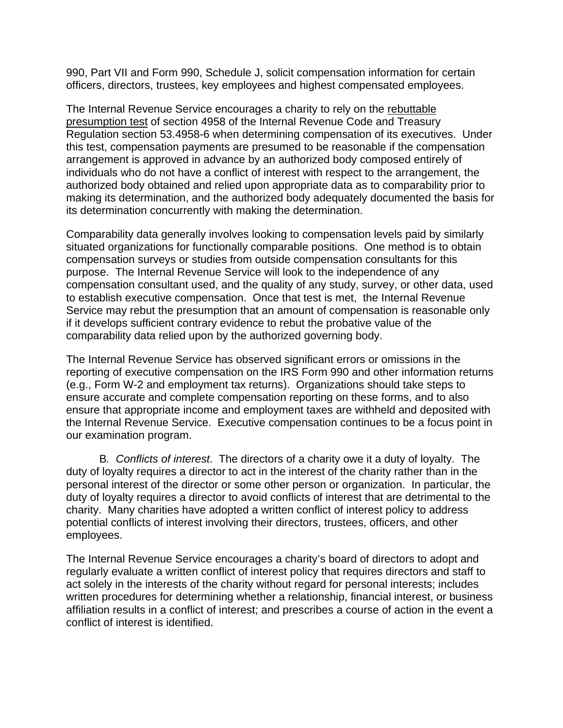990, Part VII and Form 990, Schedule J, solicit compensation information for certain officers, directors, trustees, key employees and highest compensated employees.

The Internal Revenue Service encourages a charity to rely on the [rebuttable](http://www.irs.gov/pub/irs-tege/m4958a2.pdf)  [presumption test](http://www.irs.gov/pub/irs-tege/m4958a2.pdf) of section 4958 of the Internal Revenue Code and Treasury Regulation section 53.4958-6 when determining compensation of its executives. Under this test, compensation payments are presumed to be reasonable if the compensation arrangement is approved in advance by an authorized body composed entirely of individuals who do not have a conflict of interest with respect to the arrangement, the authorized body obtained and relied upon appropriate data as to comparability prior to making its determination, and the authorized body adequately documented the basis for its determination concurrently with making the determination.

Comparability data generally involves looking to compensation levels paid by similarly situated organizations for functionally comparable positions. One method is to obtain compensation surveys or studies from outside compensation consultants for this purpose. The Internal Revenue Service will look to the independence of any compensation consultant used, and the quality of any study, survey, or other data, used to establish executive compensation. Once that test is met, the Internal Revenue Service may rebut the presumption that an amount of compensation is reasonable only if it develops sufficient contrary evidence to rebut the probative value of the comparability data relied upon by the authorized governing body.

The Internal Revenue Service has observed significant errors or omissions in the reporting of executive compensation on the IRS Form 990 and other information returns (e.g., Form W-2 and employment tax returns). Organizations should take steps to ensure accurate and complete compensation reporting on these forms, and to also ensure that appropriate income and employment taxes are withheld and deposited with the Internal Revenue Service. Executive compensation continues to be a focus point in our examination program.

B*. Conflicts of interest*. The directors of a charity owe it a duty of loyalty. The duty of loyalty requires a director to act in the interest of the charity rather than in the personal interest of the director or some other person or organization. In particular, the duty of loyalty requires a director to avoid conflicts of interest that are detrimental to the charity. Many charities have adopted a written conflict of interest policy to address potential conflicts of interest involving their directors, trustees, officers, and other employees.

The Internal Revenue Service encourages a charity's board of directors to adopt and regularly evaluate a written conflict of interest policy that requires directors and staff to act solely in the interests of the charity without regard for personal interests; includes written procedures for determining whether a relationship, financial interest, or business affiliation results in a conflict of interest; and prescribes a course of action in the event a conflict of interest is identified.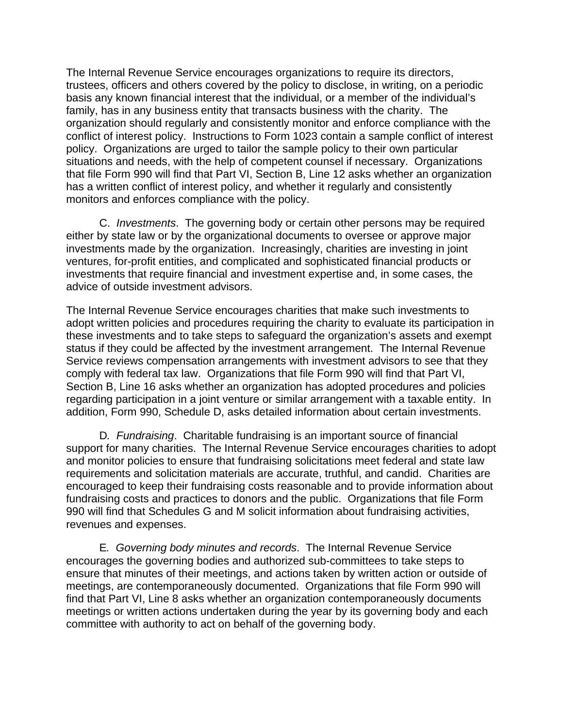The Internal Revenue Service encourages organizations to require its directors, trustees, officers and others covered by the policy to disclose, in writing, on a periodic basis any known financial interest that the individual, or a member of the individual's family, has in any business entity that transacts business with the charity. The organization should regularly and consistently monitor and enforce compliance with the conflict of interest policy. Instructions to Form 1023 contain a sample conflict of interest policy. Organizations are urged to tailor the sample policy to their own particular situations and needs, with the help of competent counsel if necessary. Organizations that file Form 990 will find that Part VI, Section B, Line 12 asks whether an organization has a written conflict of interest policy, and whether it regularly and consistently monitors and enforces compliance with the policy.

 C. *Investments*. The governing body or certain other persons may be required either by state law or by the organizational documents to oversee or approve major investments made by the organization. Increasingly, charities are investing in joint ventures, for-profit entities, and complicated and sophisticated financial products or investments that require financial and investment expertise and, in some cases, the advice of outside investment advisors.

The Internal Revenue Service encourages charities that make such investments to adopt written policies and procedures requiring the charity to evaluate its participation in these investments and to take steps to safeguard the organization's assets and exempt status if they could be affected by the investment arrangement. The Internal Revenue Service reviews compensation arrangements with investment advisors to see that they comply with federal tax law. Organizations that file Form 990 will find that Part VI, Section B, Line 16 asks whether an organization has adopted procedures and policies regarding participation in a joint venture or similar arrangement with a taxable entity. In addition, Form 990, Schedule D, asks detailed information about certain investments.

D*. Fundraising*. Charitable fundraising is an important source of financial support for many charities. The Internal Revenue Service encourages charities to adopt and monitor policies to ensure that fundraising solicitations meet federal and state law requirements and solicitation materials are accurate, truthful, and candid. Charities are encouraged to keep their fundraising costs reasonable and to provide information about fundraising costs and practices to donors and the public. Organizations that file Form 990 will find that Schedules G and M solicit information about fundraising activities, revenues and expenses.

E*. Governing body minutes and records*. The Internal Revenue Service encourages the governing bodies and authorized sub-committees to take steps to ensure that minutes of their meetings, and actions taken by written action or outside of meetings, are contemporaneously documented. Organizations that file Form 990 will find that Part VI, Line 8 asks whether an organization contemporaneously documents meetings or written actions undertaken during the year by its governing body and each committee with authority to act on behalf of the governing body.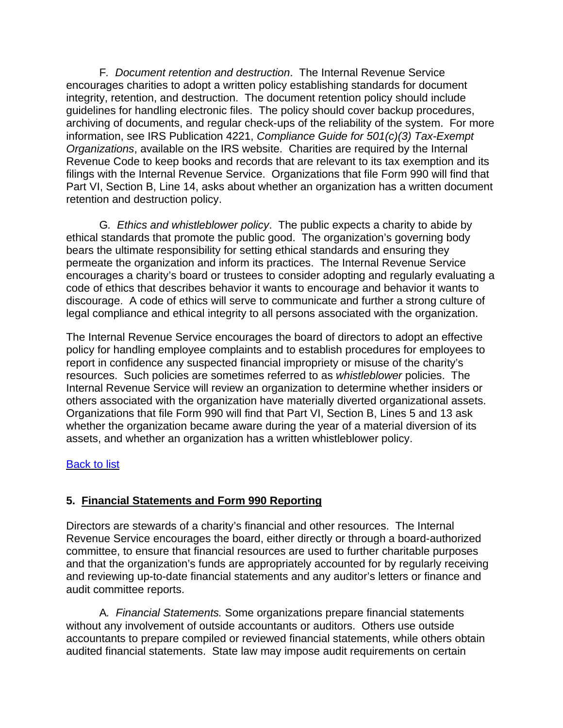<span id="page-5-0"></span>F*. Document retention and destruction*. The Internal Revenue Service encourages charities to adopt a written policy establishing standards for document integrity, retention, and destruction. The document retention policy should include guidelines for handling electronic files. The policy should cover backup procedures, archiving of documents, and regular check-ups of the reliability of the system. For more information, see IRS Publication 4221, *Compliance Guide for 501(c)(3) Tax-Exempt Organizations*, available on the IRS website. Charities are required by the Internal Revenue Code to keep books and records that are relevant to its tax exemption and its filings with the Internal Revenue Service. Organizations that file Form 990 will find that Part VI, Section B, Line 14, asks about whether an organization has a written document retention and destruction policy.

G*. Ethics and whistleblower policy*. The public expects a charity to abide by ethical standards that promote the public good. The organization's governing body bears the ultimate responsibility for setting ethical standards and ensuring they permeate the organization and inform its practices. The Internal Revenue Service encourages a charity's board or trustees to consider adopting and regularly evaluating a code of ethics that describes behavior it wants to encourage and behavior it wants to discourage. A code of ethics will serve to communicate and further a strong culture of legal compliance and ethical integrity to all persons associated with the organization.

The Internal Revenue Service encourages the board of directors to adopt an effective policy for handling employee complaints and to establish procedures for employees to report in confidence any suspected financial impropriety or misuse of the charity's resources. Such policies are sometimes referred to as *whistleblower* policies. The Internal Revenue Service will review an organization to determine whether insiders or others associated with the organization have materially diverted organizational assets. Organizations that file Form 990 will find that Part VI, Section B, Lines 5 and 13 ask whether the organization became aware during the year of a material diversion of its assets, and whether an organization has a written whistleblower policy.

#### [Back to list](#page-0-0)

#### **5. Financial Statements and Form 990 Reporting**

Directors are stewards of a charity's financial and other resources. The Internal Revenue Service encourages the board, either directly or through a board-authorized committee, to ensure that financial resources are used to further charitable purposes and that the organization's funds are appropriately accounted for by regularly receiving and reviewing up-to-date financial statements and any auditor's letters or finance and audit committee reports.

A*. Financial Statements.* Some organizations prepare financial statements without any involvement of outside accountants or auditors. Others use outside accountants to prepare compiled or reviewed financial statements, while others obtain audited financial statements. State law may impose audit requirements on certain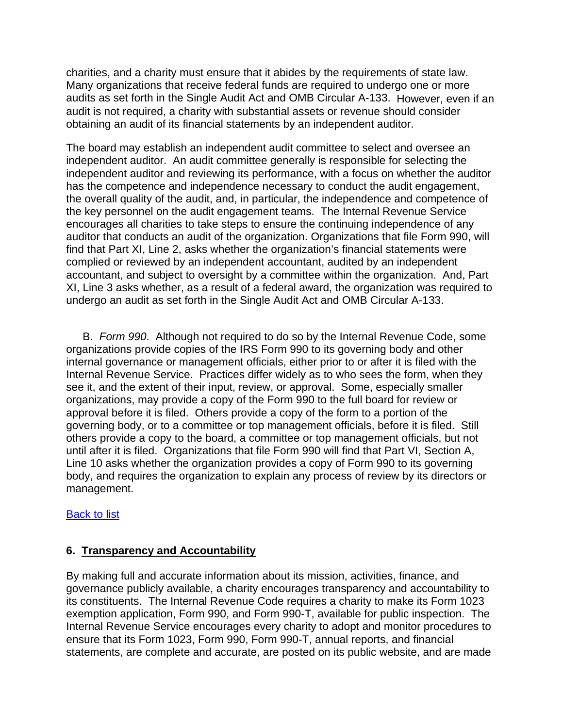<span id="page-6-0"></span>charities, and a charity must ensure that it abides by the requirements of state law. Many organizations that receive federal funds are required to undergo one or more audits as set forth in the Single Audit Act and OMB Circular A-133. However, even if an audit is not required, a charity with substantial assets or revenue should consider obtaining an audit of its financial statements by an independent auditor.

The board may establish an independent audit committee to select and oversee an independent auditor. An audit committee generally is responsible for selecting the independent auditor and reviewing its performance, with a focus on whether the auditor has the competence and independence necessary to conduct the audit engagement, the overall quality of the audit, and, in particular, the independence and competence of the key personnel on the audit engagement teams. The Internal Revenue Service encourages all charities to take steps to ensure the continuing independence of any auditor that conducts an audit of the organization. Organizations that file Form 990, will find that Part XI, Line 2, asks whether the organization's financial statements were complied or reviewed by an independent accountant, audited by an independent accountant, and subject to oversight by a committee within the organization. And, Part XI, Line 3 asks whether, as a result of a federal award, the organization was required to undergo an audit as set forth in the Single Audit Act and OMB Circular A-133.

B. *Form 990*. Although not required to do so by the Internal Revenue Code, some organizations provide copies of the IRS Form 990 to its governing body and other internal governance or management officials, either prior to or after it is filed with the Internal Revenue Service. Practices differ widely as to who sees the form, when they see it, and the extent of their input, review, or approval. Some, especially smaller organizations, may provide a copy of the Form 990 to the full board for review or approval before it is filed. Others provide a copy of the form to a portion of the governing body, or to a committee or top management officials, before it is filed. Still others provide a copy to the board, a committee or top management officials, but not until after it is filed. Organizations that file Form 990 will find that Part VI, Section A, Line 10 asks whether the organization provides a copy of Form 990 to its governing body, and requires the organization to explain any process of review by its directors or management.

#### [Back to list](#page-0-0)

#### **6. Transparency and Accountability**

By making full and accurate information about its mission, activities, finance, and governance publicly available, a charity encourages transparency and accountability to its constituents. The Internal Revenue Code requires a charity to make its Form 1023 exemption application, Form 990, and Form 990-T, available for public inspection. The Internal Revenue Service encourages every charity to adopt and monitor procedures to ensure that its Form 1023, Form 990, Form 990-T, annual reports, and financial statements, are complete and accurate, are posted on its public website, and are made